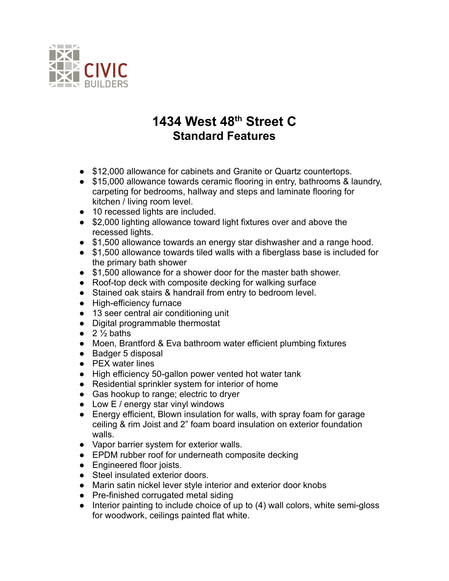

## **1434 West 48th Street C Standard Features**

- \$12,000 allowance for cabinets and Granite or Quartz countertops.
- \$15,000 allowance towards ceramic flooring in entry, bathrooms & laundry, carpeting for bedrooms, hallway and steps and laminate flooring for kitchen / living room level.
- 10 recessed lights are included.
- \$2,000 lighting allowance toward light fixtures over and above the recessed lights.
- \$1,500 allowance towards an energy star dishwasher and a range hood.
- \$1,500 allowance towards tiled walls with a fiberglass base is included for the primary bath shower
- \$1,500 allowance for a shower door for the master bath shower.
- Roof-top deck with composite decking for walking surface
- Stained oak stairs & handrail from entry to bedroom level.
- High-efficiency furnace
- 13 seer central air conditioning unit
- Digital programmable thermostat
- $\bullet$  2  $\frac{1}{2}$  baths
- Moen, Brantford & Eva bathroom water efficient plumbing fixtures
- Badger 5 disposal
- PEX water lines
- High efficiency 50-gallon power vented hot water tank
- Residential sprinkler system for interior of home
- Gas hookup to range; electric to dryer
- $\bullet$  Low E / energy star vinyl windows
- Energy efficient, Blown insulation for walls, with spray foam for garage ceiling & rim Joist and 2" foam board insulation on exterior foundation walls.
- Vapor barrier system for exterior walls.
- EPDM rubber roof for underneath composite decking
- Engineered floor joists.
- Steel insulated exterior doors.
- Marin satin nickel lever style interior and exterior door knobs
- Pre-finished corrugated metal siding
- Interior painting to include choice of up to (4) wall colors, white semi-gloss for woodwork, ceilings painted flat white.